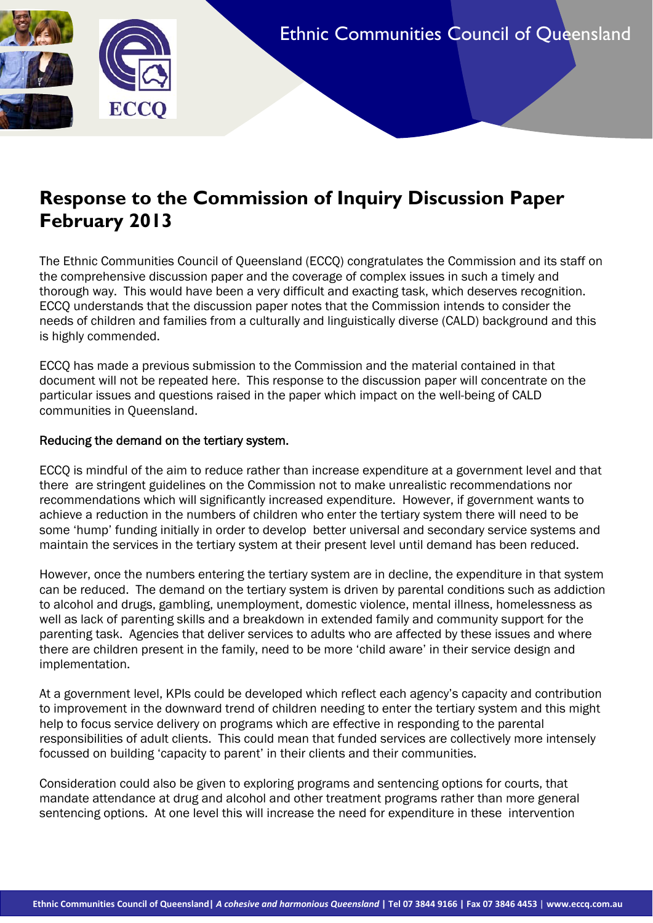# **Response to the Commission of Inquiry Discussion Paper February 2013**

The Ethnic Communities Council of Queensland (ECCQ) congratulates the Commission and its staff on the comprehensive discussion paper and the coverage of complex issues in such a timely and thorough way. This would have been a very difficult and exacting task, which deserves recognition. ECCQ understands that the discussion paper notes that the Commission intends to consider the needs of children and families from a culturally and linguistically diverse (CALD) background and this is highly commended.

ECCQ has made a previous submission to the Commission and the material contained in that document will not be repeated here. This response to the discussion paper will concentrate on the particular issues and questions raised in the paper which impact on the well-being of CALD communities in Queensland.

# Reducing the demand on the tertiary system.

**ECCO** 

ECCQ is mindful of the aim to reduce rather than increase expenditure at a government level and that there are stringent guidelines on the Commission not to make unrealistic recommendations nor recommendations which will significantly increased expenditure. However, if government wants to achieve a reduction in the numbers of children who enter the tertiary system there will need to be some 'hump' funding initially in order to develop better universal and secondary service systems and maintain the services in the tertiary system at their present level until demand has been reduced.

However, once the numbers entering the tertiary system are in decline, the expenditure in that system can be reduced. The demand on the tertiary system is driven by parental conditions such as addiction to alcohol and drugs, gambling, unemployment, domestic violence, mental illness, homelessness as well as lack of parenting skills and a breakdown in extended family and community support for the parenting task. Agencies that deliver services to adults who are affected by these issues and where there are children present in the family, need to be more 'child aware' in their service design and implementation.

<span id="page-0-0"></span>At a government level, KPIs could be developed which reflect each agency's capacity and contribution to improvement in the downward trend of children needing to enter the tertiary system and this might help to focus service delivery on programs which are effective in responding to the parental responsibilities of adult clients. This could mean that funded services are collectively more intensely focussed on building 'capacity to parent' in their clients and their communities.

Consideration could also be given to exploring programs and sentencing options for courts, that mandate attendance at drug and alcohol and other treatment programs rather than more general sentencing options. At one level this will increase the need for expenditure in these intervention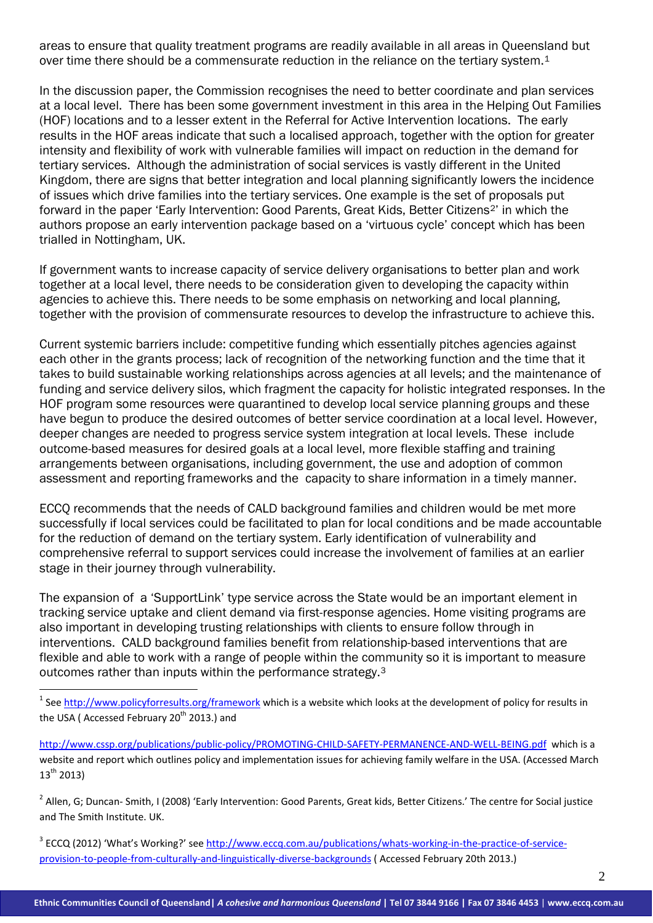areas to ensure that quality treatment programs are readily available in all areas in Queensland but over time there should be a commensurate reduction in the reliance on the tertiary system.<sup>1</sup>

In the discussion paper, the Commission recognises the need to better coordinate and plan services at a local level. There has been some government investment in this area in the Helping Out Families (HOF) locations and to a lesser extent in the Referral for Active Intervention locations. The early results in the HOF areas indicate that such a localised approach, together with the option for greater intensity and flexibility of work with vulnerable families will impact on reduction in the demand for tertiary services. Although the administration of social services is vastly different in the United Kingdom, there are signs that better integration and local planning significantly lowers the incidence of issues which drive families into the tertiary services. One example is the set of proposals put forward in the paper 'Early Intervention: Good Parents, Great Kids, Better Citizens<sup>2</sup>' in which the authors propose an early intervention package based on a 'virtuous cycle' concept which has been trialled in Nottingham, UK.

If government wants to increase capacity of service delivery organisations to better plan and work together at a local level, there needs to be consideration given to developing the capacity within agencies to achieve this. There needs to be some emphasis on networking and local planning, together with the provision of commensurate resources to develop the infrastructure to achieve this.

Current systemic barriers include: competitive funding which essentially pitches agencies against each other in the grants process; lack of recognition of the networking function and the time that it takes to build sustainable working relationships across agencies at all levels; and the maintenance of funding and service delivery silos, which fragment the capacity for holistic integrated responses. In the HOF program some resources were quarantined to develop local service planning groups and these have begun to produce the desired outcomes of better service coordination at a local level. However, deeper changes are needed to progress service system integration at local levels. These include outcome-based measures for desired goals at a local level, more flexible staffing and training arrangements between organisations, including government, the use and adoption of common assessment and reporting frameworks and the capacity to share information in a timely manner.

ECCQ recommends that the needs of CALD background families and children would be met more successfully if local services could be facilitated to plan for local conditions and be made accountable for the reduction of demand on the tertiary system. Early identification of vulnerability and comprehensive referral to support services could increase the involvement of families at an earlier stage in their journey through vulnerability.

The expansion of a 'SupportLink' type service across the State would be an important element in tracking service uptake and client demand via first-response agencies. Home visiting programs are also important in developing trusting relationships with clients to ensure follow through in interventions. CALD background families benefit from relationship-based interventions that are flexible and able to work with a range of people within the community so it is important to measure outcomes rather than inputs within the performance strategy.[3](#page-1-1)

 $1$  See http://www.policyforresults.org/framework which is a website which looks at the development of policy for results in the USA (Accessed February 20<sup>th</sup> 2013.) and

<u>.</u>

http://www.cssp.org/publications/public-policy/PROMOTING‐CHILD‐SAFETY‐PERMANENCE‐AND‐WELL‐BEING.pdf which is a website and report which outlines policy and implementation issues for achieving family welfare in the USA. (Accessed March  $13^{th}$  2013)

<span id="page-1-0"></span><sup>2</sup> Allen, G; Duncan- Smith, I (2008) 'Early Intervention: Good Parents, Great kids, Better Citizens.' The centre for Social justice and The Smith Institute. UK.

<span id="page-1-2"></span><span id="page-1-1"></span><sup>3</sup> ECCQ (2012) 'What's Working?' see http://www.eccq.com.au/publications/whats-working-in-the-practice-of-serviceprovision‐to‐people‐from‐culturally‐and‐linguistically‐diverse‐backgrounds ( Accessed February 20th 2013.)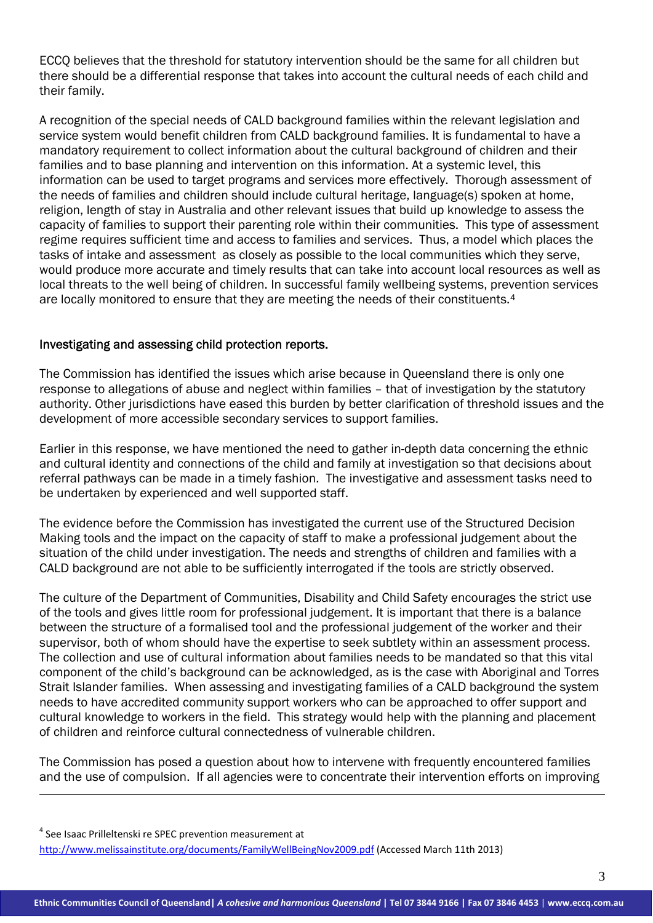ECCQ believes that the threshold for statutory intervention should be the same for all children but there should be a differential response that takes into account the cultural needs of each child and their family.

A recognition of the special needs of CALD background families within the relevant legislation and service system would benefit children from CALD background families. It is fundamental to have a mandatory requirement to collect information about the cultural background of children and their families and to base planning and intervention on this information. At a systemic level, this information can be used to target programs and services more effectively. Thorough assessment of the needs of families and children should include cultural heritage, language(s) spoken at home, religion, length of stay in Australia and other relevant issues that build up knowledge to assess the capacity of families to support their parenting role within their communities. This type of assessment regime requires sufficient time and access to families and services. Thus, a model which places the tasks of intake and assessment as closely as possible to the local communities which they serve, would produce more accurate and timely results that can take into account local resources as well as local threats to the well being of children. In successful family wellbeing systems, prevention services are locally monitored to ensure that they are meeting the needs of their constituents[.4](#page-1-2)

# Investigating and assessing child protection reports.

The Commission has identified the issues which arise because in Queensland there is only one response to allegations of abuse and neglect within families – that of investigation by the statutory authority. Other jurisdictions have eased this burden by better clarification of threshold issues and the development of more accessible secondary services to support families.

Earlier in this response, we have mentioned the need to gather in-depth data concerning the ethnic and cultural identity and connections of the child and family at investigation so that decisions about referral pathways can be made in a timely fashion. The investigative and assessment tasks need to be undertaken by experienced and well supported staff.

The evidence before the Commission has investigated the current use of the Structured Decision Making tools and the impact on the capacity of staff to make a professional judgement about the situation of the child under investigation. The needs and strengths of children and families with a CALD background are not able to be sufficiently interrogated if the tools are strictly observed.

The culture of the Department of Communities, Disability and Child Safety encourages the strict use of the tools and gives little room for professional judgement. It is important that there is a balance between the structure of a formalised tool and the professional judgement of the worker and their supervisor, both of whom should have the expertise to seek subtlety within an assessment process. The collection and use of cultural information about families needs to be mandated so that this vital component of the child's background can be acknowledged, as is the case with Aboriginal and Torres Strait Islander families. When assessing and investigating families of a CALD background the system needs to have accredited community support workers who can be approached to offer support and cultural knowledge to workers in the field. This strategy would help with the planning and placement of children and reinforce cultural connectedness of vulnerable children.

The Commission has posed a question about how to intervene with frequently encountered families and the use of compulsion. If all agencies were to concentrate their intervention efforts on improving

<span id="page-2-0"></span><sup>4</sup> See Isaac Prilleltenski re SPEC prevention measurement at

1

http://www.melissainstitute.org/documents/FamilyWellBeingNov2009.pdf (Accessed March 11th 2013)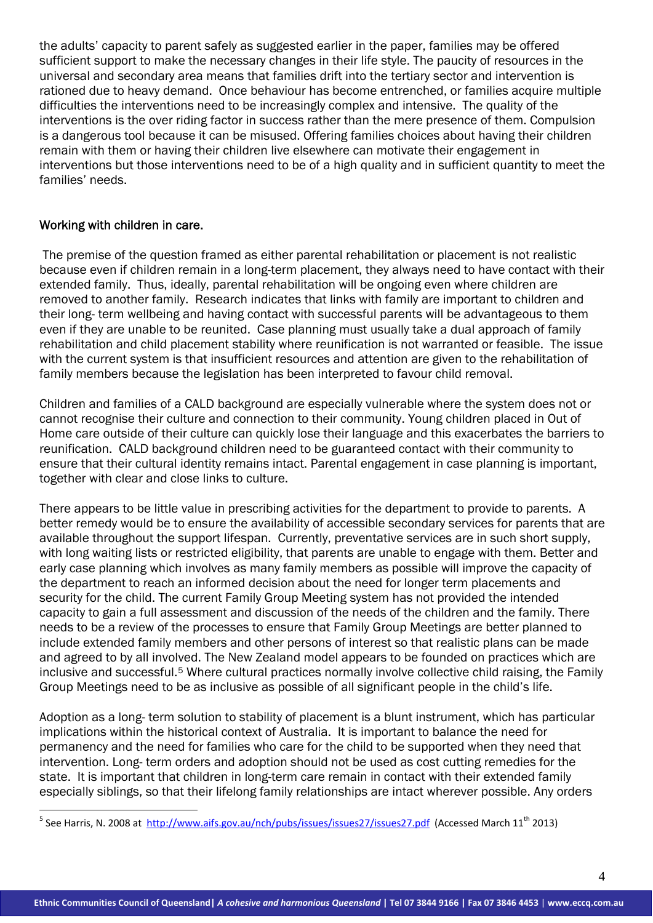the adults' capacity to parent safely as suggested earlier in the paper, families may be offered sufficient support to make the necessary changes in their life style. The paucity of resources in the universal and secondary area means that families drift into the tertiary sector and intervention is rationed due to heavy demand. Once behaviour has become entrenched, or families acquire multiple difficulties the interventions need to be increasingly complex and intensive. The quality of the interventions is the over riding factor in success rather than the mere presence of them. Compulsion is a dangerous tool because it can be misused. Offering families choices about having their children remain with them or having their children live elsewhere can motivate their engagement in interventions but those interventions need to be of a high quality and in sufficient quantity to meet the families' needs.

# Working with children in care.

<span id="page-3-0"></span><u>.</u>

 The premise of the question framed as either parental rehabilitation or placement is not realistic because even if children remain in a long-term placement, they always need to have contact with their extended family. Thus, ideally, parental rehabilitation will be ongoing even where children are removed to another family. Research indicates that links with family are important to children and their long- term wellbeing and having contact with successful parents will be advantageous to them even if they are unable to be reunited. Case planning must usually take a dual approach of family rehabilitation and child placement stability where reunification is not warranted or feasible. The issue with the current system is that insufficient resources and attention are given to the rehabilitation of family members because the legislation has been interpreted to favour child removal.

Children and families of a CALD background are especially vulnerable where the system does not or cannot recognise their culture and connection to their community. Young children placed in Out of Home care outside of their culture can quickly lose their language and this exacerbates the barriers to reunification. CALD background children need to be guaranteed contact with their community to ensure that their cultural identity remains intact. Parental engagement in case planning is important, together with clear and close links to culture.

There appears to be little value in prescribing activities for the department to provide to parents. A better remedy would be to ensure the availability of accessible secondary services for parents that are available throughout the support lifespan. Currently, preventative services are in such short supply, with long waiting lists or restricted eligibility, that parents are unable to engage with them. Better and early case planning which involves as many family members as possible will improve the capacity of the department to reach an informed decision about the need for longer term placements and security for the child. The current Family Group Meeting system has not provided the intended capacity to gain a full assessment and discussion of the needs of the children and the family. There needs to be a review of the processes to ensure that Family Group Meetings are better planned to include extended family members and other persons of interest so that realistic plans can be made and agreed to by all involved. The New Zealand model appears to be founded on practices which are inclusive and successful.<sup>[5](#page-2-0)</sup> Where cultural practices normally involve collective child raising, the Family Group Meetings need to be as inclusive as possible of all significant people in the child's life.

Adoption as a long- term solution to stability of placement is a blunt instrument, which has particular implications within the historical context of Australia. It is important to balance the need for permanency and the need for families who care for the child to be supported when they need that intervention. Long- term orders and adoption should not be used as cost cutting remedies for the state. It is important that children in long-term care remain in contact with their extended family especially siblings, so that their lifelong family relationships are intact wherever possible. Any orders

<sup>&</sup>lt;sup>5</sup> See Harris, N. 2008 at http://www.aifs.gov.au/nch/pubs/issues/issues27/issues27.pdf (Accessed March 11<sup>th</sup> 2013)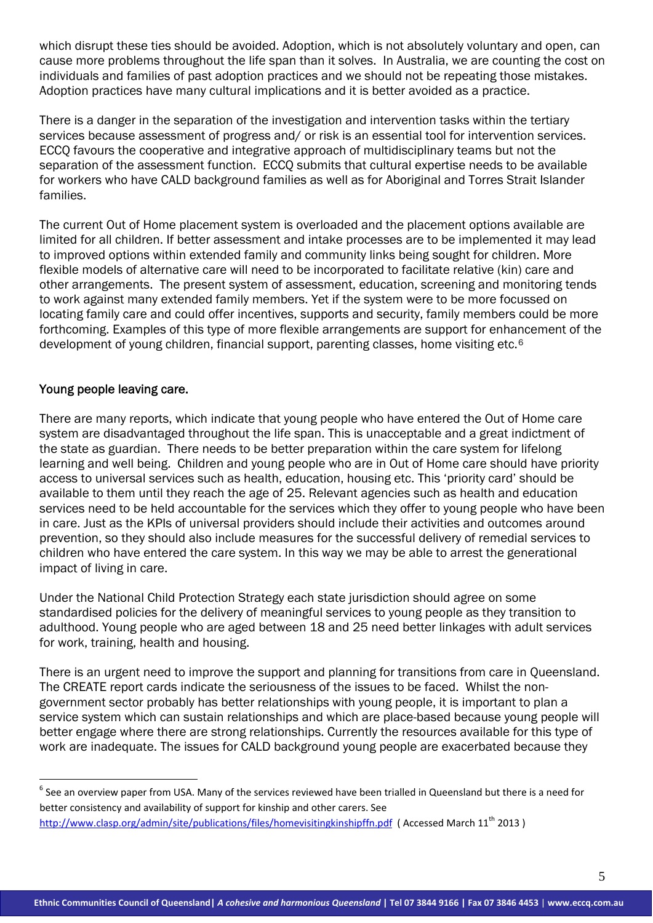which disrupt these ties should be avoided. Adoption, which is not absolutely voluntary and open, can cause more problems throughout the life span than it solves. In Australia, we are counting the cost on individuals and families of past adoption practices and we should not be repeating those mistakes. Adoption practices have many cultural implications and it is better avoided as a practice.

There is a danger in the separation of the investigation and intervention tasks within the tertiary services because assessment of progress and/ or risk is an essential tool for intervention services. ECCQ favours the cooperative and integrative approach of multidisciplinary teams but not the separation of the assessment function. ECCQ submits that cultural expertise needs to be available for workers who have CALD background families as well as for Aboriginal and Torres Strait Islander families.

The current Out of Home placement system is overloaded and the placement options available are limited for all children. If better assessment and intake processes are to be implemented it may lead to improved options within extended family and community links being sought for children. More flexible models of alternative care will need to be incorporated to facilitate relative (kin) care and other arrangements. The present system of assessment, education, screening and monitoring tends to work against many extended family members. Yet if the system were to be more focussed on locating family care and could offer incentives, supports and security, family members could be more forthcoming. Examples of this type of more flexible arrangements are support for enhancement of the development of young children, financial support, parenting classes, home visiting etc.<sup>[6](#page-3-0)</sup>

# Young people leaving care.

<u>.</u>

There are many reports, which indicate that young people who have entered the Out of Home care system are disadvantaged throughout the life span. This is unacceptable and a great indictment of the state as guardian. There needs to be better preparation within the care system for lifelong learning and well being. Children and young people who are in Out of Home care should have priority access to universal services such as health, education, housing etc. This 'priority card' should be available to them until they reach the age of 25. Relevant agencies such as health and education services need to be held accountable for the services which they offer to young people who have been in care. Just as the KPIs of universal providers should include their activities and outcomes around prevention, so they should also include measures for the successful delivery of remedial services to children who have entered the care system. In this way we may be able to arrest the generational impact of living in care.

Under the National Child Protection Strategy each state jurisdiction should agree on some standardised policies for the delivery of meaningful services to young people as they transition to adulthood. Young people who are aged between 18 and 25 need better linkages with adult services for work, training, health and housing.

There is an urgent need to improve the support and planning for transitions from care in Queensland. The CREATE report cards indicate the seriousness of the issues to be faced. Whilst the nongovernment sector probably has better relationships with young people, it is important to plan a service system which can sustain relationships and which are place-based because young people will better engage where there are strong relationships. Currently the resources available for this type of work are inadequate. The issues for CALD background young people are exacerbated because they

<span id="page-4-0"></span> $6$  See an overview paper from USA. Many of the services reviewed have been trialled in Queensland but there is a need for better consistency and availability of support for kinship and other carers. See http://www.clasp.org/admin/site/publications/files/homevisitingkinshipffn.pdf (Accessed March 11<sup>th</sup> 2013)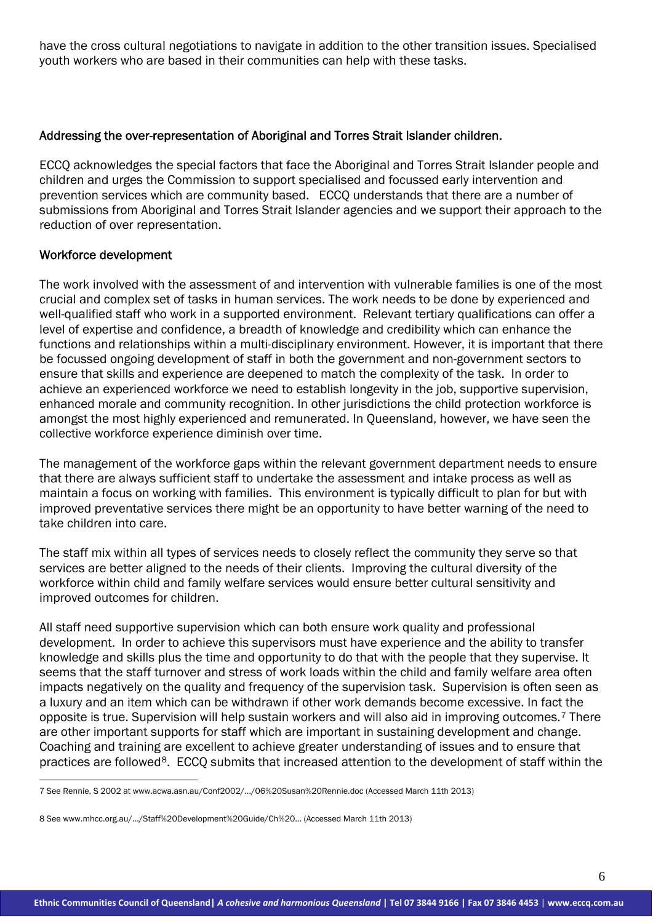have the cross cultural negotiations to navigate in addition to the other transition issues. Specialised youth workers who are based in their communities can help with these tasks.

## Addressing the over-representation of Aboriginal and Torres Strait Islander children.

ECCQ acknowledges the special factors that face the Aboriginal and Torres Strait Islander people and children and urges the Commission to support specialised and focussed early intervention and prevention services which are community based. ECCQ understands that there are a number of submissions from Aboriginal and Torres Strait Islander agencies and we support their approach to the reduction of over representation.

#### Workforce development

<u>.</u>

The work involved with the assessment of and intervention with vulnerable families is one of the most crucial and complex set of tasks in human services. The work needs to be done by experienced and well-qualified staff who work in a supported environment. Relevant tertiary qualifications can offer a level of expertise and confidence, a breadth of knowledge and credibility which can enhance the functions and relationships within a multi-disciplinary environment. However, it is important that there be focussed ongoing development of staff in both the government and non-government sectors to ensure that skills and experience are deepened to match the complexity of the task. In order to achieve an experienced workforce we need to establish longevity in the job, supportive supervision, enhanced morale and community recognition. In other jurisdictions the child protection workforce is amongst the most highly experienced and remunerated. In Queensland, however, we have seen the collective workforce experience diminish over time.

The management of the workforce gaps within the relevant government department needs to ensure that there are always sufficient staff to undertake the assessment and intake process as well as maintain a focus on working with families. This environment is typically difficult to plan for but with improved preventative services there might be an opportunity to have better warning of the need to take children into care.

The staff mix within all types of services needs to closely reflect the community they serve so that services are better aligned to the needs of their clients. Improving the cultural diversity of the workforce within child and family welfare services would ensure better cultural sensitivity and improved outcomes for children.

All staff need supportive supervision which can both ensure work quality and professional development. In order to achieve this supervisors must have experience and the ability to transfer knowledge and skills plus the time and opportunity to do that with the people that they supervise. It seems that the staff turnover and stress of work loads within the child and family welfare area often impacts negatively on the quality and frequency of the supervision task. Supervision is often seen as a luxury and an item which can be withdrawn if other work demands become excessive. In fact the opposite is true. Supervision will help sustain workers and will also aid in improving outcomes.[7](#page-4-0) There are other important supports for staff which are important in sustaining development and change. Coaching and training are excellent to achieve greater understanding of issues and to ensure that practices are followed<sup>8</sup>. ECCO submits that increased attention to the development of staff within the

<span id="page-5-1"></span><sup>7</sup> See Rennie, S 2002 at www.acwa.asn.au/Conf2002/.../06%20Susan%20Rennie.doc (Accessed March 11th 2013)

<span id="page-5-0"></span><sup>8</sup> See www.mhcc.org.au/.../Staff%20Development%20Guide/Ch%20... (Accessed March 11th 2013)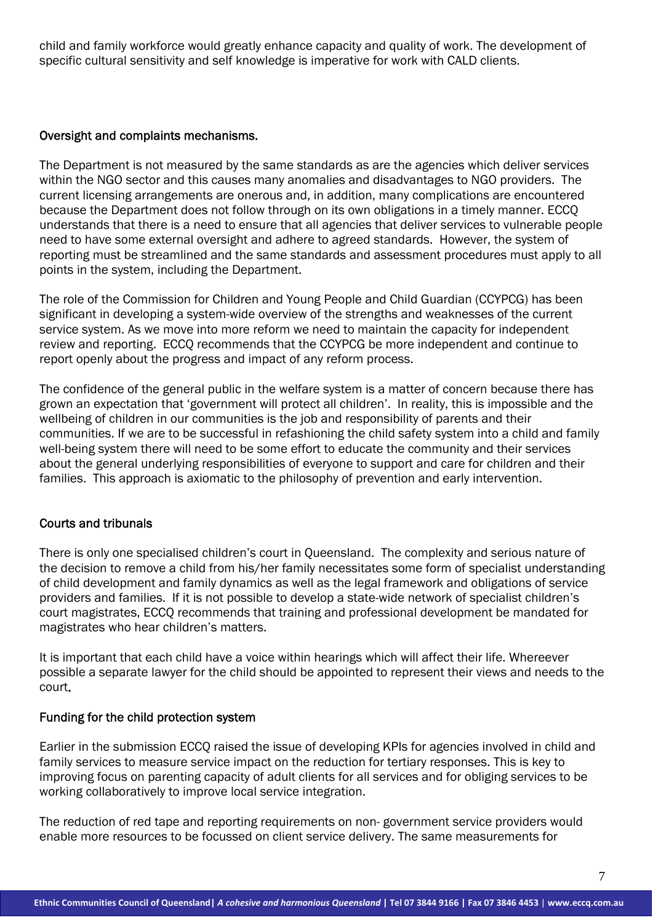child and family workforce would greatly enhance capacity and quality of work. The development of specific cultural sensitivity and self knowledge is imperative for work with CALD clients.

## Oversight and complaints mechanisms.

The Department is not measured by the same standards as are the agencies which deliver services within the NGO sector and this causes many anomalies and disadvantages to NGO providers. The current licensing arrangements are onerous and, in addition, many complications are encountered because the Department does not follow through on its own obligations in a timely manner. ECCQ understands that there is a need to ensure that all agencies that deliver services to vulnerable people need to have some external oversight and adhere to agreed standards. However, the system of reporting must be streamlined and the same standards and assessment procedures must apply to all points in the system, including the Department.

The role of the Commission for Children and Young People and Child Guardian (CCYPCG) has been significant in developing a system-wide overview of the strengths and weaknesses of the current service system. As we move into more reform we need to maintain the capacity for independent review and reporting. ECCQ recommends that the CCYPCG be more independent and continue to report openly about the progress and impact of any reform process.

The confidence of the general public in the welfare system is a matter of concern because there has grown an expectation that 'government will protect all children'. In reality, this is impossible and the wellbeing of children in our communities is the job and responsibility of parents and their communities. If we are to be successful in refashioning the child safety system into a child and family well-being system there will need to be some effort to educate the community and their services about the general underlying responsibilities of everyone to support and care for children and their families. This approach is axiomatic to the philosophy of prevention and early intervention.

# Courts and tribunals

There is only one specialised children's court in Queensland. The complexity and serious nature of the decision to remove a child from his/her family necessitates some form of specialist understanding of child development and family dynamics as well as the legal framework and obligations of service providers and families. If it is not possible to develop a state-wide network of specialist children's court magistrates, ECCQ recommends that training and professional development be mandated for magistrates who hear children's matters.

It is important that each child have a voice within hearings which will affect their life. Whereever possible a separate lawyer for the child should be appointed to represent their views and needs to the court.

#### Funding for the child protection system

Earlier in the submission ECCQ raised the issue of developing KPIs for agencies involved in child and family services to measure service impact on the reduction for tertiary responses. This is key to improving focus on parenting capacity of adult clients for all services and for obliging services to be working collaboratively to improve local service integration.

The reduction of red tape and reporting requirements on non- government service providers would enable more resources to be focussed on client service delivery. The same measurements for